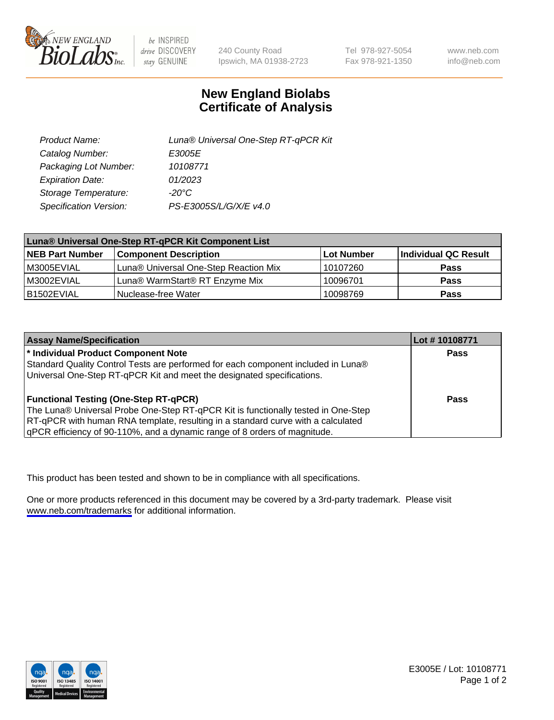

be INSPIRED drive DISCOVERY stay GENUINE

240 County Road Ipswich, MA 01938-2723 Tel 978-927-5054 Fax 978-921-1350

www.neb.com info@neb.com

## **New England Biolabs Certificate of Analysis**

| Product Name:           | Luna® Universal One-Step RT-qPCR Kit |
|-------------------------|--------------------------------------|
| Catalog Number:         | E3005E                               |
| Packaging Lot Number:   | 10108771                             |
| <b>Expiration Date:</b> | 01/2023                              |
| Storage Temperature:    | $-20^{\circ}$ C                      |
| Specification Version:  | PS-E3005S/L/G/X/E v4.0               |

| Luna® Universal One-Step RT-qPCR Kit Component List |                                       |            |                      |  |
|-----------------------------------------------------|---------------------------------------|------------|----------------------|--|
| <b>NEB Part Number</b>                              | <b>Component Description</b>          | Lot Number | Individual QC Result |  |
| M3005EVIAL                                          | Luna® Universal One-Step Reaction Mix | 10107260   | <b>Pass</b>          |  |
| IM3002EVIAL                                         | Luna® WarmStart® RT Enzyme Mix        | 10096701   | <b>Pass</b>          |  |
| B1502EVIAL                                          | Nuclease-free Water                   | 10098769   | <b>Pass</b>          |  |

| <b>Assay Name/Specification</b>                                                   | Lot #10108771 |
|-----------------------------------------------------------------------------------|---------------|
| * Individual Product Component Note                                               | Pass          |
| Standard Quality Control Tests are performed for each component included in Luna® |               |
| Universal One-Step RT-qPCR Kit and meet the designated specifications.            |               |
| <b>Functional Testing (One-Step RT-qPCR)</b>                                      | Pass          |
| The Luna® Universal Probe One-Step RT-qPCR Kit is functionally tested in One-Step |               |
| RT-qPCR with human RNA template, resulting in a standard curve with a calculated  |               |
| qPCR efficiency of 90-110%, and a dynamic range of 8 orders of magnitude.         |               |

This product has been tested and shown to be in compliance with all specifications.

One or more products referenced in this document may be covered by a 3rd-party trademark. Please visit <www.neb.com/trademarks>for additional information.